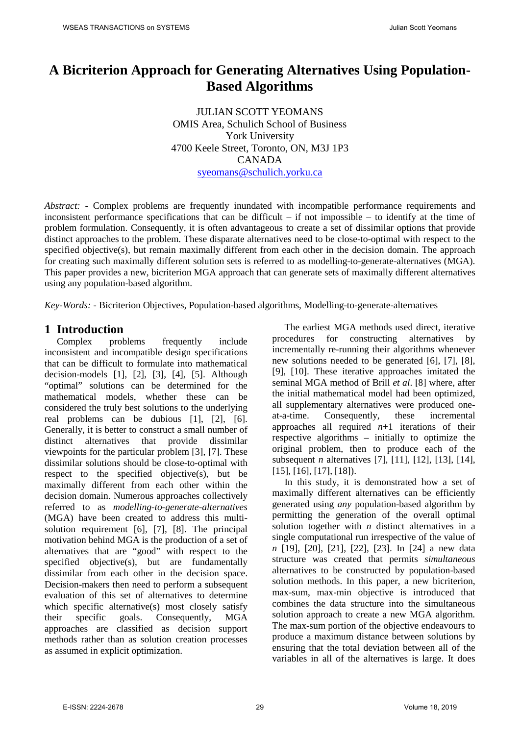# **A Bicriterion Approach for Generating Alternatives Using Population-Based Algorithms**

JULIAN SCOTT YEOMANS OMIS Area, Schulich School of Business York University 4700 Keele Street, Toronto, ON, M3J 1P3 CANADA [syeomans@schulich.yorku.ca](mailto:Syeomans@ssb.yorku.ca)

*Abstract: -* Complex problems are frequently inundated with incompatible performance requirements and inconsistent performance specifications that can be difficult – if not impossible – to identify at the time of problem formulation. Consequently, it is often advantageous to create a set of dissimilar options that provide distinct approaches to the problem. These disparate alternatives need to be close-to-optimal with respect to the specified objective(s), but remain maximally different from each other in the decision domain. The approach for creating such maximally different solution sets is referred to as modelling-to-generate-alternatives (MGA). This paper provides a new, bicriterion MGA approach that can generate sets of maximally different alternatives using any population-based algorithm.

*Key-Words: -* Bicriterion Objectives, Population-based algorithms, Modelling-to-generate-alternatives

**1 Introduction**<br>Complex problems Complex problems frequently include inconsistent and incompatible design specifications that can be difficult to formulate into mathematical decision-models  $[1]$ ,  $[2]$ ,  $[3]$ ,  $[4]$ ,  $[5]$ . Although "optimal" solutions can be determined for the mathematical models, whether these can be considered the truly best solutions to the underlying real problems can be dubious [1], [2], [6]. Generally, it is better to construct a small number of distinct alternatives that provide dissimilar viewpoints for the particular problem [3], [7]. These dissimilar solutions should be close-to-optimal with respect to the specified objective(s), but be maximally different from each other within the decision domain. Numerous approaches collectively referred to as *modelling-to-generate-alternatives* (MGA) have been created to address this multisolution requirement [6], [7], [8]. The principal motivation behind MGA is the production of a set of alternatives that are "good" with respect to the specified objective(s), but are fundamentally dissimilar from each other in the decision space. Decision-makers then need to perform a subsequent evaluation of this set of alternatives to determine which specific alternative(s) most closely satisfy their specific goals. Consequently, MGA approaches are classified as decision support methods rather than as solution creation processes as assumed in explicit optimization.

The earliest MGA methods used direct, iterative procedures for constructing alternatives by incrementally re-running their algorithms whenever new solutions needed to be generated [6], [7], [8], [9], [10]. These iterative approaches imitated the seminal MGA method of Brill *et al*. [8] where, after the initial mathematical model had been optimized, all supplementary alternatives were produced oneat-a-time. Consequently, these incremental approaches all required  $n+1$  iterations of their respective algorithms – initially to optimize the original problem, then to produce each of the subsequent *n* alternatives [7], [11], [12], [13], [14], [15], [16], [17], [18]).

In this study, it is demonstrated how a set of maximally different alternatives can be efficiently generated using *any* population-based algorithm by permitting the generation of the overall optimal solution together with *n* distinct alternatives in a single computational run irrespective of the value of *n* [19], [20], [21], [22], [23]. In [24] a new data structure was created that permits *simultaneous* alternatives to be constructed by population-based solution methods. In this paper, a new bicriterion, max-sum, max-min objective is introduced that combines the data structure into the simultaneous solution approach to create a new MGA algorithm. The max-sum portion of the objective endeavours to produce a maximum distance between solutions by ensuring that the total deviation between all of the variables in all of the alternatives is large. It does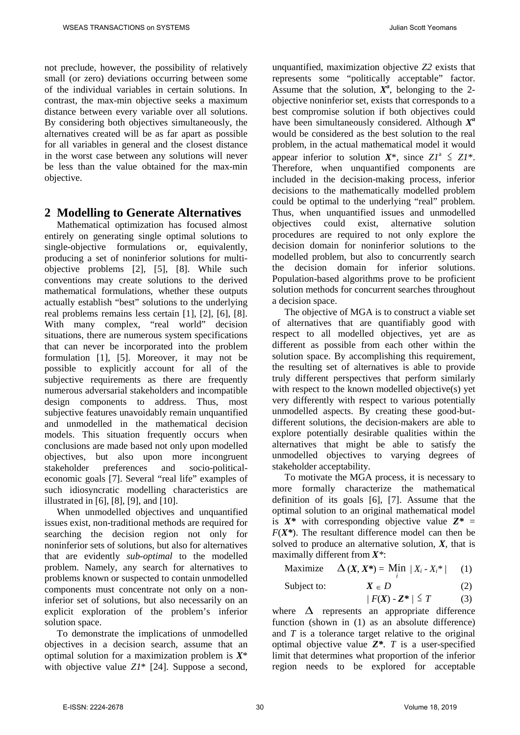not preclude, however, the possibility of relatively small (or zero) deviations occurring between some of the individual variables in certain solutions. In contrast, the max-min objective seeks a maximum distance between every variable over all solutions. By considering both objectives simultaneously, the alternatives created will be as far apart as possible for all variables in general and the closest distance in the worst case between any solutions will never be less than the value obtained for the max-min objective.

#### **2 Modelling to Generate Alternatives**

Mathematical optimization has focused almost entirely on generating single optimal solutions to single-objective formulations or, equivalently, producing a set of noninferior solutions for multiobjective problems [2], [5], [8]. While such conventions may create solutions to the derived mathematical formulations, whether these outputs actually establish "best" solutions to the underlying real problems remains less certain [1], [2], [6], [8]. With many complex, "real world" decision situations, there are numerous system specifications that can never be incorporated into the problem formulation [1], [5]. Moreover, it may not be possible to explicitly account for all of the subjective requirements as there are frequently numerous adversarial stakeholders and incompatible design components to address. Thus, most subjective features unavoidably remain unquantified and unmodelled in the mathematical decision models. This situation frequently occurs when conclusions are made based not only upon modelled objectives, but also upon more incongruent stakeholder preferences and socio-politicaleconomic goals [7]. Several "real life" examples of such idiosyncratic modelling characteristics are illustrated in [6], [8], [9], and [10].

When unmodelled objectives and unquantified issues exist, non-traditional methods are required for searching the decision region not only for noninferior sets of solutions, but also for alternatives that are evidently *sub-optimal* to the modelled problem. Namely, any search for alternatives to problems known or suspected to contain unmodelled components must concentrate not only on a noninferior set of solutions, but also necessarily on an explicit exploration of the problem's inferior solution space.

To demonstrate the implications of unmodelled objectives in a decision search, assume that an optimal solution for a maximization problem is *X*\* with objective value *Z1*\* [24]. Suppose a second, unquantified, maximization objective *Z2* exists that represents some "politically acceptable" factor. Assume that the solution,  $X^a$ , belonging to the 2objective noninferior set, exists that corresponds to a best compromise solution if both objectives could have been simultaneously considered. Although  $X^a$ would be considered as the best solution to the real problem, in the actual mathematical model it would appear inferior to solution  $X^*$ , since  $ZI^* \leq ZI^*$ . Therefore, when unquantified components are included in the decision-making process, inferior decisions to the mathematically modelled problem could be optimal to the underlying "real" problem. Thus, when unquantified issues and unmodelled objectives could exist, alternative solution procedures are required to not only explore the decision domain for noninferior solutions to the modelled problem, but also to concurrently search the decision domain for inferior solutions. Population-based algorithms prove to be proficient solution methods for concurrent searches throughout a decision space.

The objective of MGA is to construct a viable set of alternatives that are quantifiably good with respect to all modelled objectives, yet are as different as possible from each other within the solution space. By accomplishing this requirement, the resulting set of alternatives is able to provide truly different perspectives that perform similarly with respect to the known modelled objective(s) yet very differently with respect to various potentially unmodelled aspects. By creating these good-butdifferent solutions, the decision-makers are able to explore potentially desirable qualities within the alternatives that might be able to satisfy the unmodelled objectives to varying degrees of stakeholder acceptability.

To motivate the MGA process, it is necessary to more formally characterize the mathematical definition of its goals [6], [7]. Assume that the optimal solution to an original mathematical model is  $X^*$  with corresponding objective value  $Z^* =$  $F(X^*)$ . The resultant difference model can then be solved to produce an alternative solution, *X*, that is maximally different from *X\**:

$$
\text{Maximize} \quad \Delta\left(X, X^*\right) = \text{Min} \ |X_i - X_i^*\| \qquad (1)
$$

Subject to: 
$$
X \in D
$$
 (2)

$$
|F(X) - Z^*| \leq T \tag{3}
$$

where  $\Delta$  represents an appropriate difference function (shown in (1) as an absolute difference) and *T* is a tolerance target relative to the original optimal objective value *Z\**. *T* is a user-specified limit that determines what proportion of the inferior region needs to be explored for acceptable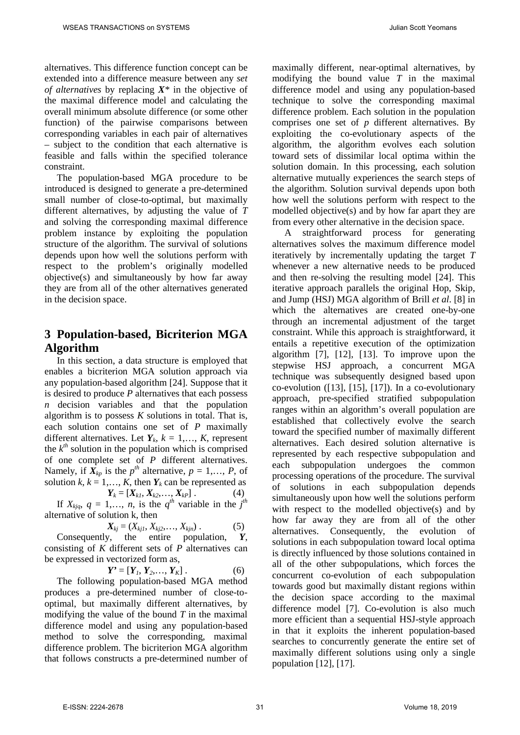alternatives. This difference function concept can be extended into a difference measure between any *set of alternatives* by replacing *X\** in the objective of the maximal difference model and calculating the overall minimum absolute difference (or some other function) of the pairwise comparisons between corresponding variables in each pair of alternatives – subject to the condition that each alternative is feasible and falls within the specified tolerance constraint.

The population-based MGA procedure to be introduced is designed to generate a pre-determined small number of close-to-optimal, but maximally different alternatives, by adjusting the value of *T* and solving the corresponding maximal difference problem instance by exploiting the population structure of the algorithm. The survival of solutions depends upon how well the solutions perform with respect to the problem's originally modelled objective(s) and simultaneously by how far away they are from all of the other alternatives generated in the decision space.

## **3 Population-based, Bicriterion MGA Algorithm**

In this section, a data structure is employed that enables a bicriterion MGA solution approach via any population-based algorithm [24]. Suppose that it is desired to produce *P* alternatives that each possess *n* decision variables and that the population algorithm is to possess *K* solutions in total. That is, each solution contains one set of *P* maximally different alternatives. Let  $Y_k$ ,  $k = 1, \ldots, K$ , represent the  $k^{th}$  solution in the population which is comprised of one complete set of *P* different alternatives. Namely, if  $\overline{X}_{kp}$  is the  $p^{th}$  alternative,  $p = 1, \ldots, P$ , of solution  $k, k = 1, \ldots, K$ , then  $Y_k$  can be represented as

$$
Y_k = [X_{k1}, X_{k2}, \dots, X_{kP}]. \tag{4}
$$

If  $X_{kjq}$ ,  $q = 1,..., n$ , is the  $q^{th}$  variable in the  $j^{th}$ alternative of solution k, then

$$
X_{kj} = (X_{kj1}, X_{kj2}, \ldots, X_{kjn}) \ . \tag{5}
$$

Consequently, the entire population, *Y*, consisting of *K* different sets of *P* alternatives can be expressed in vectorized form as,

$$
Y' = [Y_1, Y_2, \dots, Y_K].
$$
 (6)

The following population-based MGA method produces a pre-determined number of close-tooptimal, but maximally different alternatives, by modifying the value of the bound *T* in the maximal difference model and using any population-based method to solve the corresponding, maximal difference problem. The bicriterion MGA algorithm that follows constructs a pre-determined number of maximally different, near-optimal alternatives, by modifying the bound value *T* in the maximal difference model and using any population-based technique to solve the corresponding maximal difference problem. Each solution in the population comprises one set of *p* different alternatives. By exploiting the co-evolutionary aspects of the algorithm, the algorithm evolves each solution toward sets of dissimilar local optima within the solution domain. In this processing, each solution alternative mutually experiences the search steps of the algorithm. Solution survival depends upon both how well the solutions perform with respect to the modelled objective(s) and by how far apart they are from every other alternative in the decision space.

A straightforward process for generating alternatives solves the maximum difference model iteratively by incrementally updating the target *T* whenever a new alternative needs to be produced and then re-solving the resulting model [24]. This iterative approach parallels the original Hop, Skip, and Jump (HSJ) MGA algorithm of Brill *et al*. [8] in which the alternatives are created one-by-one through an incremental adjustment of the target constraint. While this approach is straightforward, it entails a repetitive execution of the optimization algorithm [7], [12], [13]. To improve upon the stepwise HSJ approach, a concurrent MGA technique was subsequently designed based upon co-evolution ([13], [15], [17]). In a co-evolutionary approach, pre-specified stratified subpopulation ranges within an algorithm's overall population are established that collectively evolve the search toward the specified number of maximally different alternatives. Each desired solution alternative is represented by each respective subpopulation and each subpopulation undergoes the common processing operations of the procedure. The survival of solutions in each subpopulation depends simultaneously upon how well the solutions perform with respect to the modelled objective(s) and by how far away they are from all of the other alternatives. Consequently, the evolution of solutions in each subpopulation toward local optima is directly influenced by those solutions contained in all of the other subpopulations, which forces the concurrent co-evolution of each subpopulation towards good but maximally distant regions within the decision space according to the maximal difference model [7]. Co-evolution is also much more efficient than a sequential HSJ-style approach in that it exploits the inherent population-based searches to concurrently generate the entire set of maximally different solutions using only a single population [12], [17].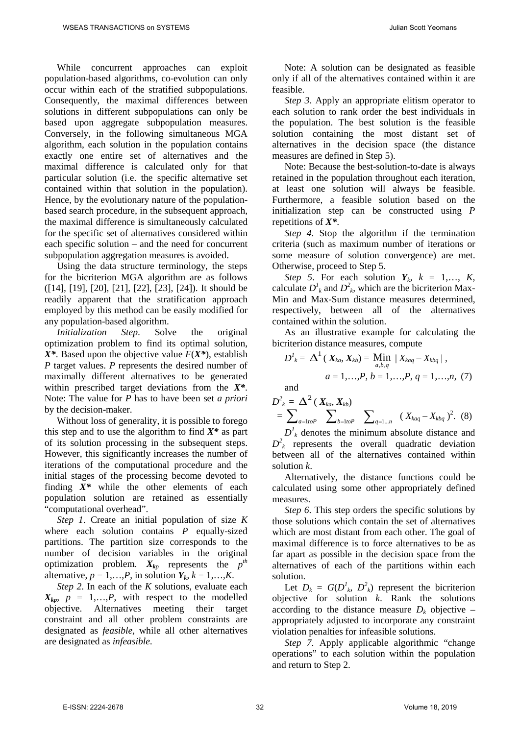While concurrent approaches can exploit population-based algorithms, co-evolution can only occur within each of the stratified subpopulations. Consequently, the maximal differences between solutions in different subpopulations can only be based upon aggregate subpopulation measures. Conversely, in the following simultaneous MGA algorithm, each solution in the population contains exactly one entire set of alternatives and the maximal difference is calculated only for that particular solution (i.e. the specific alternative set contained within that solution in the population). Hence, by the evolutionary nature of the populationbased search procedure, in the subsequent approach, the maximal difference is simultaneously calculated for the specific set of alternatives considered within each specific solution – and the need for concurrent subpopulation aggregation measures is avoided.

Using the data structure terminology, the steps for the bicriterion MGA algorithm are as follows ([14], [19], [20], [21], [22], [23], [24]). It should be readily apparent that the stratification approach employed by this method can be easily modified for any population-based algorithm.

*Initialization Step*. Solve the original optimization problem to find its optimal solution, *X\**. Based upon the objective value *F*(*X\**), establish *P* target values. *P* represents the desired number of maximally different alternatives to be generated within prescribed target deviations from the *X\**. Note: The value for *P* has to have been set *a priori* by the decision-maker.

Without loss of generality, it is possible to forego this step and to use the algorithm to find *X\** as part of its solution processing in the subsequent steps. However, this significantly increases the number of iterations of the computational procedure and the initial stages of the processing become devoted to finding *X\** while the other elements of each population solution are retained as essentially "computational overhead".

*Step 1*. Create an initial population of size *K* where each solution contains *P* equally-sized partitions. The partition size corresponds to the number of decision variables in the original optimization problem.  $X_{kp}$  represents the  $p^{th}$ alternative,  $p = 1, \ldots, P$ , in solution  $Y_k$ ,  $k = 1, \ldots, K$ .

*Step 2*. In each of the *K* solutions, evaluate each  $X_{kp}$ ,  $p = 1,...,P$ , with respect to the modelled objective. Alternatives meeting their target constraint and all other problem constraints are designated as *feasible*, while all other alternatives are designated as *infeasible*.

Note: A solution can be designated as feasible only if all of the alternatives contained within it are feasible.

*Step 3*. Apply an appropriate elitism operator to each solution to rank order the best individuals in the population. The best solution is the feasible solution containing the most distant set of alternatives in the decision space (the distance measures are defined in Step 5).

Note: Because the best-solution-to-date is always retained in the population throughout each iteration, at least one solution will always be feasible. Furthermore, a feasible solution based on the initialization step can be constructed using *P* repetitions of *X\**.

*Step 4*. Stop the algorithm if the termination criteria (such as maximum number of iterations or some measure of solution convergence) are met. Otherwise, proceed to Step 5.

*Step 5*. For each solution  $Y_k$ ,  $k = 1,..., K$ , calculate  $D^1_k$  and  $D^2_k$ , which are the bicriterion Max-Min and Max-Sum distance measures determined, respectively, between all of the alternatives contained within the solution.

As an illustrative example for calculating the bicriterion distance measures, compute

$$
D^{l}_{ k} = \Delta^{1} ( X_{ka}, X_{kb}) = \min_{a,b,q} | X_{kaq} - X_{kbq} | ,
$$
  
 
$$
a = 1,...,P, b = 1,...,P, q = 1,...,n, (7)
$$

and

$$
D_{k}^{2} = \Delta^{2} (X_{ka}, X_{kb})
$$
  
=  $\sum_{a=1toP} \sum_{b=1toP} \sum_{b=1...P} (X_{kaq} - X_{kbq})^{2}$ . (8)

 $D<sup>l</sup><sub>k</sub>$  denotes the minimum absolute distance and  $D^2_k$  represents the overall quadratic deviation between all of the alternatives contained within solution *k*.

Alternatively, the distance functions could be calculated using some other appropriately defined measures.

*Step 6*. This step orders the specific solutions by those solutions which contain the set of alternatives which are most distant from each other. The goal of maximal difference is to force alternatives to be as far apart as possible in the decision space from the alternatives of each of the partitions within each solution.

Let  $D_k = G(D^l_k, D^2_k)$  represent the bicriterion objective for solution *k*. Rank the solutions according to the distance measure  $D_k$  objective – appropriately adjusted to incorporate any constraint violation penalties for infeasible solutions.

*Step 7*. Apply applicable algorithmic "change operations" to each solution within the population and return to Step 2.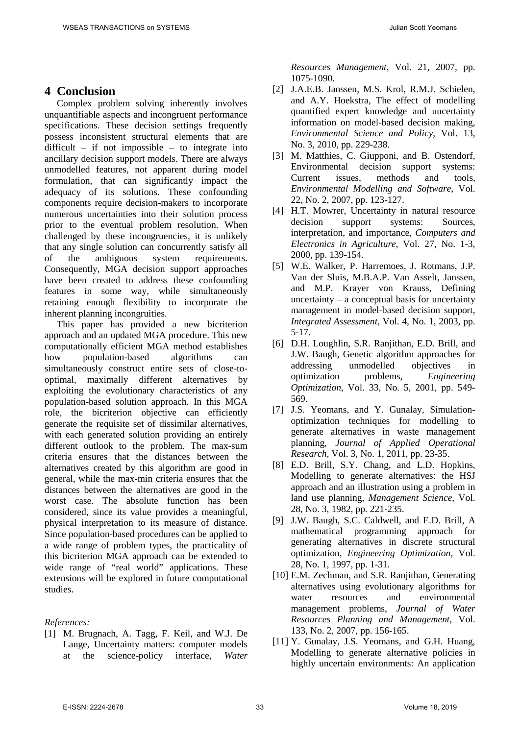### **4 Conclusion**

Complex problem solving inherently involves unquantifiable aspects and incongruent performance specifications. These decision settings frequently possess inconsistent structural elements that are difficult – if not impossible – to integrate into ancillary decision support models. There are always unmodelled features, not apparent during model formulation, that can significantly impact the adequacy of its solutions. These confounding components require decision-makers to incorporate numerous uncertainties into their solution process prior to the eventual problem resolution. When challenged by these incongruencies, it is unlikely that any single solution can concurrently satisfy all of the ambiguous system requirements. Consequently, MGA decision support approaches have been created to address these confounding features in some way, while simultaneously retaining enough flexibility to incorporate the inherent planning incongruities.

This paper has provided a new bicriterion approach and an updated MGA procedure. This new computationally efficient MGA method establishes how population-based algorithms can simultaneously construct entire sets of close-tooptimal, maximally different alternatives by exploiting the evolutionary characteristics of any population-based solution approach. In this MGA role, the bicriterion objective can efficiently generate the requisite set of dissimilar alternatives, with each generated solution providing an entirely different outlook to the problem. The max-sum criteria ensures that the distances between the alternatives created by this algorithm are good in general, while the max-min criteria ensures that the distances between the alternatives are good in the worst case. The absolute function has been considered, since its value provides a meaningful, physical interpretation to its measure of distance. Since population-based procedures can be applied to a wide range of problem types, the practicality of this bicriterion MGA approach can be extended to wide range of "real world" applications. These extensions will be explored in future computational studies.

#### *References:*

[1] M. Brugnach, A. Tagg, F. Keil, and W.J. De Lange, Uncertainty matters: computer models at the science-policy interface, *Water*  *Resources Management*, Vol. 21, 2007, pp. 1075-1090.

- [2] J.A.E.B. Janssen, M.S. Krol, R.M.J. Schielen, and A.Y. Hoekstra, The effect of modelling quantified expert knowledge and uncertainty information on model-based decision making, *Environmental Science and Policy*, Vol. 13, No. 3, 2010, pp. 229-238.
- [3] M. Matthies, C. Giupponi, and B. Ostendorf, Environmental decision support systems: Current issues, methods and tools, *Environmental Modelling and Software*, Vol. 22, No. 2, 2007, pp. 123-127.
- [4] H.T. Mowrer, Uncertainty in natural resource decision support systems: Sources, interpretation, and importance, *Computers and Electronics in Agriculture*, Vol. 27, No. 1-3, 2000, pp. 139-154.
- [5] W.E. Walker, P. Harremoes, J. Rotmans, J.P. Van der Sluis, M.B.A.P. Van Asselt, Janssen, and M.P. Krayer von Krauss, Defining uncertainty – a conceptual basis for uncertainty management in model-based decision support, *Integrated Assessment*, Vol. 4, No. 1, 2003, pp. 5-17.
- [6] D.H. Loughlin, S.R. Ranjithan, E.D. Brill, and J.W. Baugh, Genetic algorithm approaches for addressing unmodelled objectives in optimization problems, *Engineering Optimization*, Vol. 33, No. 5, 2001, pp. 549- 569.
- [7] J.S. Yeomans, and Y. Gunalay, Simulationoptimization techniques for modelling to generate alternatives in waste management planning, *Journal of Applied Operational Research*, Vol. 3, No. 1, 2011, pp. 23-35.
- [8] E.D. Brill, S.Y. Chang, and L.D. Hopkins, Modelling to generate alternatives: the HSJ approach and an illustration using a problem in land use planning, *Management Science*, Vol. 28, No. 3, 1982, pp. 221-235.
- [9] J.W. Baugh, S.C. Caldwell, and E.D. Brill, A mathematical programming approach for generating alternatives in discrete structural optimization, *Engineering Optimization*, Vol. 28, No. 1, 1997, pp. 1-31.
- [10] E.M. Zechman, and S.R. Ranjithan, Generating alternatives using evolutionary algorithms for water resources and environmental management problems, *Journal of Water Resources Planning and Management*, Vol. 133, No. 2, 2007, pp. 156-165.
- [11] Y. Gunalay, J.S. Yeomans, and G.H. Huang, Modelling to generate alternative policies in highly uncertain environments: An application